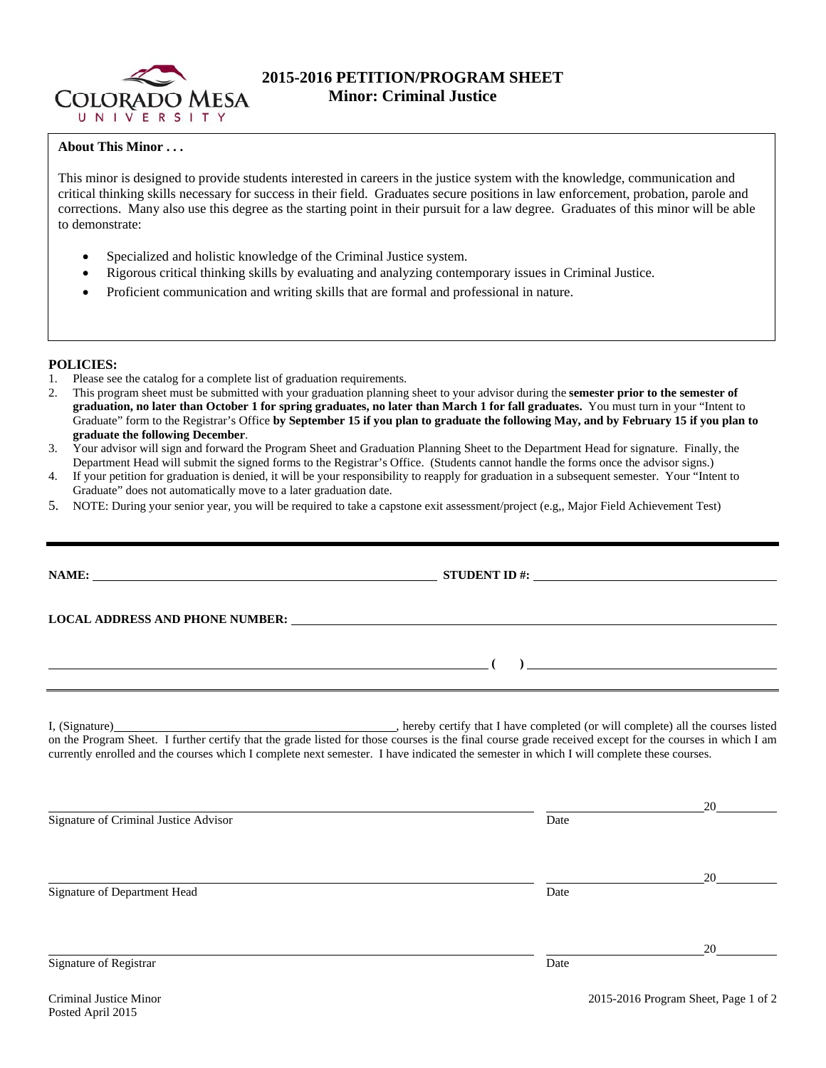

# **2015-2016 PETITION/PROGRAM SHEET Minor: Criminal Justice**

## **About This Minor . . .**

This minor is designed to provide students interested in careers in the justice system with the knowledge, communication and critical thinking skills necessary for success in their field. Graduates secure positions in law enforcement, probation, parole and corrections. Many also use this degree as the starting point in their pursuit for a law degree. Graduates of this minor will be able to demonstrate:

- Specialized and holistic knowledge of the Criminal Justice system.
- Rigorous critical thinking skills by evaluating and analyzing contemporary issues in Criminal Justice.
- Proficient communication and writing skills that are formal and professional in nature.

## **POLICIES:**

- 1. Please see the catalog for a complete list of graduation requirements.
- 2. This program sheet must be submitted with your graduation planning sheet to your advisor during the **semester prior to the semester of graduation, no later than October 1 for spring graduates, no later than March 1 for fall graduates.** You must turn in your "Intent to Graduate" form to the Registrar's Office **by September 15 if you plan to graduate the following May, and by February 15 if you plan to graduate the following December**.
- 3. Your advisor will sign and forward the Program Sheet and Graduation Planning Sheet to the Department Head for signature. Finally, the Department Head will submit the signed forms to the Registrar's Office. (Students cannot handle the forms once the advisor signs.)
- 4. If your petition for graduation is denied, it will be your responsibility to reapply for graduation in a subsequent semester. Your "Intent to Graduate" does not automatically move to a later graduation date.
- 5. NOTE: During your senior year, you will be required to take a capstone exit assessment/project (e.g,, Major Field Achievement Test)

| $\overline{a}$ (b) and the set of $\overline{a}$ (c) and the set of $\overline{a}$ (c) and the set of $\overline{a}$<br><u> 1989 - Andrea Santana, amerikana amerikana amerikana amerikana amerikana amerikana amerikana amerikana amerika</u>                                                      |      |                                      |  |  |  |  |
|-----------------------------------------------------------------------------------------------------------------------------------------------------------------------------------------------------------------------------------------------------------------------------------------------------|------|--------------------------------------|--|--|--|--|
| on the Program Sheet. I further certify that the grade listed for those courses is the final course grade received except for the courses in which I am<br>currently enrolled and the courses which I complete next semester. I have indicated the semester in which I will complete these courses. |      |                                      |  |  |  |  |
| Signature of Criminal Justice Advisor                                                                                                                                                                                                                                                               | Date |                                      |  |  |  |  |
| Signature of Department Head                                                                                                                                                                                                                                                                        | Date | 20                                   |  |  |  |  |
| Signature of Registrar                                                                                                                                                                                                                                                                              | Date | 20                                   |  |  |  |  |
| Criminal Justice Minor                                                                                                                                                                                                                                                                              |      | 2015-2016 Program Sheet, Page 1 of 2 |  |  |  |  |